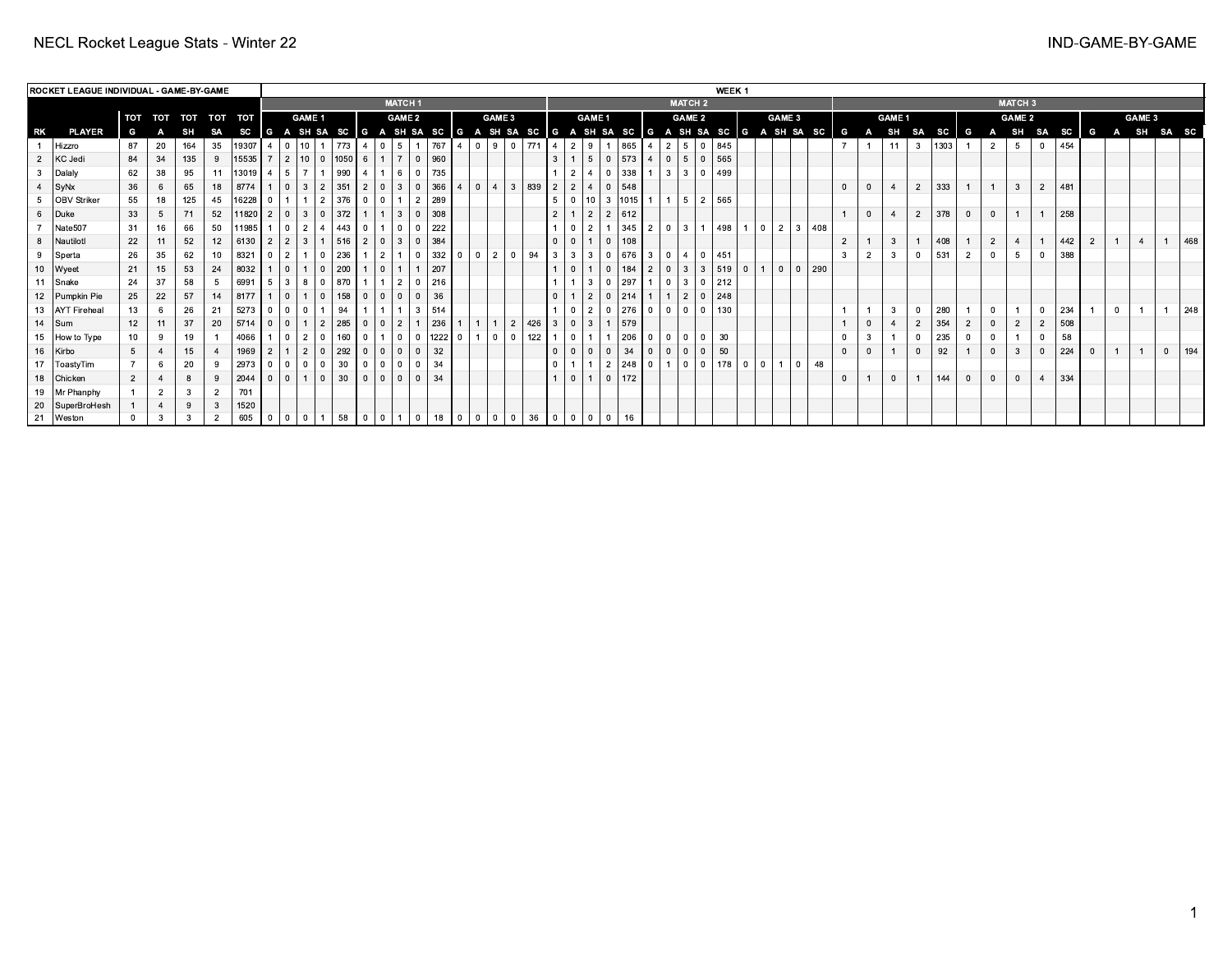|                | ROCKET LEAGUE INDIVIDUAL - GAME-BY-GAME |             |     |           |         |          |          |                |                                  |     |                       |                              |                                  |                   |      |            |                |                |                  |     |                          |                                  |            |     |                |                |                |                | WEEK <sub>1</sub> |                |           |                       |                                                                                  |                |              |               |                |               |   |                |                |                |      |                |            |              |     |
|----------------|-----------------------------------------|-------------|-----|-----------|---------|----------|----------|----------------|----------------------------------|-----|-----------------------|------------------------------|----------------------------------|-------------------|------|------------|----------------|----------------|------------------|-----|--------------------------|----------------------------------|------------|-----|----------------|----------------|----------------|----------------|-------------------|----------------|-----------|-----------------------|----------------------------------------------------------------------------------|----------------|--------------|---------------|----------------|---------------|---|----------------|----------------|----------------|------|----------------|------------|--------------|-----|
|                |                                         |             |     |           |         |          |          |                |                                  |     |                       |                              | <b>MATCH1</b>                    |                   |      |            |                |                |                  |     |                          |                                  |            |     |                |                | <b>MATCH 2</b> |                |                   |                |           |                       |                                                                                  |                |              |               |                |               |   |                | <b>MATCH 3</b> |                |      |                |            |              |     |
|                |                                         | TOT         | тот | тот тот   |         | тот      |          |                | <b>GAME 1</b>                    |     |                       |                              | <b>GAME 2</b>                    |                   |      |            |                | GAME 3         |                  |     |                          | <b>GAME 1</b>                    |            |     |                |                | <b>GAME 2</b>  |                |                   |                |           | <b>GAME 3</b>         |                                                                                  |                |              | <b>GAME 1</b> |                |               |   |                | <b>GAME 2</b>  |                |      |                | GAME 3     |              |     |
| RK             | <b>PLAYER</b>                           | G           |     | <b>SH</b> | SA      |          |          |                |                                  |     |                       |                              |                                  |                   |      |            |                |                |                  |     |                          |                                  |            |     |                |                |                |                |                   |                |           |                       | SC G A SH SA SC G A SH SA SC G A SH SA SC G A SH SA SC G A SH SA SC G A SH SA SC | G              | $\mathbf{A}$ | SH            | <b>SA</b>      | $\mathsf{sc}$ | G | A              | SH             | <b>SA</b>      | SC G |                | A SH SA SC |              |     |
|                | Hizzro                                  | 87          | 20  | 164       | 35      | 19307    |          |                | 10 <sup>1</sup>                  |     | 773                   | $\Omega$                     | 5                                |                   | 767  |            | $\overline{0}$ | l 9 I 0 I      |                  | 771 | I 4 I                    | $\overline{2}$<br>l 9            |            | 865 |                | $\overline{2}$ |                |                | 845               |                |           |                       |                                                                                  |                |              | 11            | 3              | 1303          |   | $\overline{2}$ | 5              |                | 454  |                |            |              |     |
|                | KC Jedi                                 | 84          | 34  | 135       | 9       | 15535    |          | $\overline{2}$ | 10   0  1050   6                 |     |                       |                              | $\overline{7}$<br>1 <sup>1</sup> | $\overline{0}$    | 960  |            |                |                |                  |     | 3                        | 1.5                              | $\Omega$   | 573 |                | $\overline{0}$ |                | $^{\circ}$     | 565               |                |           |                       |                                                                                  |                |              |               |                |               |   |                |                |                |      |                |            |              |     |
|                | Dalaly                                  | 62          | 38  | 95        |         | 11 13019 |          | 5 <sup>5</sup> | $\overline{7}$                   |     | 990<br>$\overline{4}$ |                              | - 6                              | - 0               | 735  |            |                |                |                  |     | $\overline{2}$           | -4                               |            | 338 |                | $\overline{3}$ |                | $\Omega$       | 499               |                |           |                       |                                                                                  |                |              |               |                |               |   |                |                |                |      |                |            |              |     |
| $\overline{a}$ | $ $ SyNx                                | 36          |     | 65        | 18      | 8774     |          | $\Omega$       | 3<br>$\overline{2}$              | 351 | 2                     | $\overline{0}$               | $\mathbf{3}$                     | 0                 | 366  |            | $\mathbf{0}$   | $\overline{4}$ | 3 <sup>1</sup>   | 839 | $2^{\circ}$              | $\overline{2}$<br>14             | $\Omega$   | 548 |                |                |                |                |                   |                |           |                       |                                                                                  |                | $\mathbf 0$  |               | $\overline{2}$ | 333           |   |                | $\mathbf{3}$   | $\overline{2}$ | 481  |                |            |              |     |
| -5             | OBV Striker                             | 55          | 18  | 125       | 45      | 16228    | $\Omega$ |                | $\overline{1}$<br>$\overline{2}$ |     | $376$   0   0         |                              | $\overline{1}$                   | l 2               | 289  |            |                |                |                  |     | 5 <sup>1</sup>           | 0   10   3  1015 <b> </b>        |            |     |                |                | -5             | $2^{\circ}$    | 565               |                |           |                       |                                                                                  |                |              |               |                |               |   |                |                |                |      |                |            |              |     |
| 6              | Duke                                    | 33          |     | 71        | 52      | 11820    |          | $^{\circ}$     | 3<br>$\mathbf{0}$                |     | 372                   | $\sim$                       | -3                               | <b>0</b>          | 308  |            |                |                |                  |     | $2^{\circ}$              | $\vert 2 \vert$                  | 2          | 612 |                |                |                |                |                   |                |           |                       |                                                                                  |                |              |               | $\overline{2}$ | 378           |   | $\mathbf 0$    |                |                | 258  |                |            |              |     |
|                | Nate507                                 | 31          | 16  | 66        | 50      | 11985    |          | $^{\circ}$     | $\overline{2}$<br>4              |     | $443$   0   1         |                              | $\Omega$                         | $\overline{0}$    | 222  |            |                |                |                  |     | $\Omega$                 | .2                               |            | 345 | $\overline{2}$ | $\overline{0}$ | -3-            |                | 498               | $\overline{1}$ | l 0       | $\overline{2}$<br>3 I | 408                                                                              |                |              |               |                |               |   |                |                |                |      |                |            |              |     |
|                | 8   Nautilotl                           | 22          | 11  | 52        | 12      | 6130     |          | $\overline{2}$ | 3                                |     | $516$   2             | $\mathbf{0}$                 | $\mathbf{3}$                     | $\Omega$          | 384  |            |                |                |                  |     | $\mathbf{0}$             | $\Omega$<br>$\overline{1}$       | $\Omega$   | 108 |                |                |                |                |                   |                |           |                       |                                                                                  | $\overline{2}$ |              | 3             |                | 408           |   | $\overline{2}$ |                |                | 442  | $\overline{2}$ |            |              | 468 |
|                | Sperta                                  | 26          | 35  | 62        | $10-10$ | 8321     |          | $\overline{2}$ | $\blacktriangleleft$<br>$\Omega$ |     | 236                   | $\overline{2}$               |                                  | - 0               | 332  | $\Omega$   | $\overline{0}$ | $\overline{2}$ | 94<br>$^{\circ}$ |     | 3 I<br>-3                | 131                              | $\Omega$   | 676 | -3             | $\overline{0}$ |                | $^{\circ}$     | 451               |                |           |                       |                                                                                  |                |              |               |                | 531           |   |                |                |                | 388  |                |            |              |     |
|                | 10   Wyeet                              | 21          | 15  | 53        | 24      | 8032     |          | $^{\circ}$     | $\mathbf{1}$<br>$\mathbf{0}$     | 200 |                       |                              | $\overline{0}$                   |                   | 207  |            |                |                |                  |     | $\Omega$                 |                                  | $\Omega$   | 184 | 2              | $\overline{0}$ | $\mathbf{3}$   | 3 <sup>1</sup> | 519               | $\overline{0}$ | $\vert$ 1 | 0 <sup>1</sup>        | $0 \mid 290$                                                                     |                |              |               |                |               |   |                |                |                |      |                |            |              |     |
|                | 11 Snake                                | 24          | -37 | 58        | -5      | 6991     |          | 3              | 8<br>$\overline{0}$              |     | 870                   | l 1                          | -2                               | l 0               | 216  |            |                |                |                  |     |                          | $+3$ <sup>+</sup>                | $^{\circ}$ | 297 |                | $\overline{0}$ | 3 I            | $\Omega$       | 212               |                |           |                       |                                                                                  |                |              |               |                |               |   |                |                |                |      |                |            |              |     |
|                | 12   Pumpkin Pie                        | 25          | 22  | 57        | 14      | 8177     |          | $\Omega$       | $\mathbf{1}$<br>$\Omega$         |     | 158<br>- റ            | $\mathbf{0}$                 | $\Omega$                         | $\Omega$          | 36   |            |                |                |                  |     | $\Omega$                 | 12'                              | $\Omega$   | 214 |                | $\overline{1}$ | 2              | $\Omega$       | 248               |                |           |                       |                                                                                  |                |              |               |                |               |   |                |                |                |      |                |            |              |     |
|                | 13   AYT Fireheal                       | 13          |     | 26        | 21      | 5273     |          | $\Omega$       | $\mathbf{0}$                     | 94  |                       |                              |                                  | $\cdot$ 3 $\cdot$ | 514  |            |                |                |                  |     |                          | $\Omega$<br>12 <sup>1</sup>      | $\Omega$   | 276 | $\overline{0}$ | $\overline{0}$ | 0              | $\Omega$       | 130               |                |           |                       |                                                                                  |                |              |               |                | 280           |   |                |                |                | 234  |                |            |              | 248 |
|                | $14$ Sum                                | 12          |     | 37        | 20      | 5714     |          | $\Omega$       | $\overline{1}$<br>$\overline{2}$ |     | 285                   | $\Omega$                     | $\overline{2}$                   |                   | 236  |            | $\mathbf{1}$   | 2              |                  | 426 | $\mathbf{3}$<br>$\Omega$ | .3                               |            | 579 |                |                |                |                |                   |                |           |                       |                                                                                  |                |              |               | $\overline{2}$ | 354           |   | $\mathbf 0$    | $\overline{2}$ | $\overline{2}$ | 508  |                |            |              |     |
|                | 15   How to Type                        | 10          |     | 19        |         | 4066     |          | $\Omega$       | $\overline{2}$<br>$\Omega$       |     | 160                   | $\Omega$<br>$\mathbf{1}$     | $\overline{0}$                   | 10                | 1222 | $^{\circ}$ | $\mathbf{1}$   | $\overline{0}$ | $^{\circ}$       | 122 | 1<br>$\overline{0}$      |                                  |            | 206 | $\overline{0}$ | $\overline{0}$ | $\Omega$       | 0              | 30                |                |           |                       |                                                                                  |                |              |               |                | 235           |   |                |                |                | 58   |                |            |              |     |
|                | 16 Kirbo                                | 5           |     | 15        |         | 1969     |          |                | 2<br>$\mathbf{0}$                |     | 292<br>$\Omega$       | $\mathbf{0}$                 | $\Omega$                         | $\Omega$          | 32   |            |                |                |                  |     | $\Omega$                 | $\Omega$<br>$\Omega$             | $\Omega$   | 34  | $\mathbf{0}$   | $\overline{0}$ | $\Omega$       | $\Omega$       | 50                |                |           |                       |                                                                                  |                |              |               |                | 92            |   | $\mathbf{0}$   | 3              |                | 224  | $\overline{0}$ |            | $\mathbf{0}$ | 194 |
|                | 17   ToastyTim                          |             | -6  | 20        |         | 2973     |          | $\Omega$       | $\overline{0}$<br>$\overline{0}$ | 30  |                       | $0$   0                      | $\mathbf{0}$                     | 10 <sup>1</sup>   | -34  |            |                |                |                  |     | $\mathbf{0}$             |                                  | 2          | 248 | $\mathbf{0}$   | $\overline{1}$ | 0 I            | $\Omega$       | 178               | $\overline{0}$ | l 0       | $\Omega$              | 48                                                                               |                |              |               |                |               |   |                |                |                |      |                |            |              |     |
|                | 18 Chicken                              | $2^{\circ}$ |     | 8         | 9       | 2044     |          | $\Omega$       | $\mathbf{1}$<br>$\Omega$         |     | 30                    | $0$   0                      | $\Omega$                         | $\Omega$          | 34   |            |                |                |                  |     | 1 <sup>1</sup>           | $\overline{0}$<br>$\overline{1}$ | $\Omega$   | 172 |                |                |                |                |                   |                |           |                       |                                                                                  |                |              | $\mathbf{0}$  |                | 144           |   | $\mathbf{0}$   | $\mathbf{0}$   |                | 334  |                |            |              |     |
|                | 19   Mr Phanphy                         |             |     |           |         | 701      |          |                |                                  |     |                       |                              |                                  |                   |      |            |                |                |                  |     |                          |                                  |            |     |                |                |                |                |                   |                |           |                       |                                                                                  |                |              |               |                |               |   |                |                |                |      |                |            |              |     |
|                | 20   SuperBroHesh                       |             |     | 9         |         | 1520     |          |                |                                  |     |                       |                              |                                  |                   |      |            |                |                |                  |     |                          |                                  |            |     |                |                |                |                |                   |                |           |                       |                                                                                  |                |              |               |                |               |   |                |                |                |      |                |            |              |     |
|                | 21 Weston                               |             | 3   | 3         |         | 605      |          |                | $\Omega$                         |     | 58                    | $\mathbf{0}$<br>$\mathbf{0}$ |                                  | $+0$ $+$          | 18   | $^{\circ}$ | $\mathbf 0$    | $\Omega$       |                  | 36  | $\circ$                  | $\Omega$<br>$10-1$               |            | 16  |                |                |                |                |                   |                |           |                       |                                                                                  |                |              |               |                |               |   |                |                |                |      |                |            |              |     |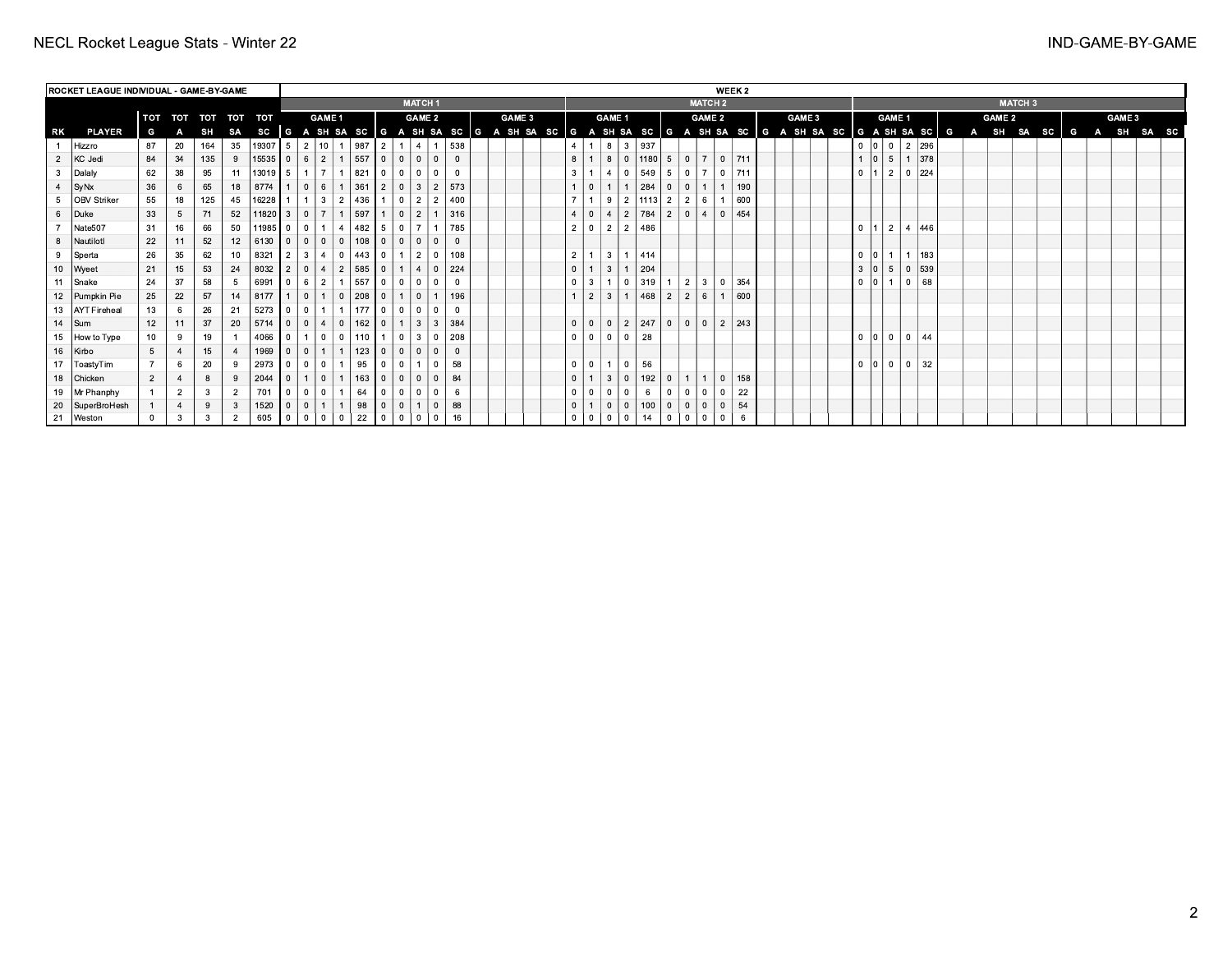|    | <b>ROCKET LEAGUE INDIVIDUAL - GAME-BY-GAME</b> |                  |                |             |    |           |                |                |                 |                |     |                |                |                |                |                |        |                |                |                |                |                      |                 |                 |                | WEEK 2       |     |  |        |            |                   |                 |               |     |  |                                                                                                              |                |          |        |            |  |
|----|------------------------------------------------|------------------|----------------|-------------|----|-----------|----------------|----------------|-----------------|----------------|-----|----------------|----------------|----------------|----------------|----------------|--------|----------------|----------------|----------------|----------------|----------------------|-----------------|-----------------|----------------|--------------|-----|--|--------|------------|-------------------|-----------------|---------------|-----|--|--------------------------------------------------------------------------------------------------------------|----------------|----------|--------|------------|--|
|    |                                                |                  |                |             |    |           |                |                |                 |                |     |                |                | <b>MATCH1</b>  |                |                |        |                |                |                |                |                      |                 |                 | <b>MATCH 2</b> |              |     |  |        |            |                   |                 |               |     |  |                                                                                                              | <b>MATCH 3</b> |          |        |            |  |
|    |                                                | TOT              | TOT            | TOT TOT TOT |    |           |                |                | <b>GAME 1</b>   |                |     |                |                | <b>GAME 2</b>  |                |                | GAME 3 |                |                | <b>GAME 1</b>  |                |                      |                 |                 | <b>GAME 2</b>  |              |     |  | GAME 3 |            |                   | GAME 1          |               |     |  | <b>GAME 2</b>                                                                                                |                |          | GAME 3 |            |  |
| RK | <b>PLAYER</b>                                  | G                |                | SH          | SA |           |                |                |                 |                |     |                |                |                |                |                |        |                |                |                |                |                      |                 |                 |                |              |     |  |        |            |                   |                 |               |     |  | SC G A SH SA SC G A SH SA SC G A SH SA SC G A SH SA SC G A SH SA SC G A SH SA SC G A SH SA SC G A SH SA SC G |                | <b>G</b> |        | A SH SA SC |  |
|    | Hizzro                                         | 87               | 20             | 164         | 35 | $19307$ 5 |                | $\overline{2}$ | 10 <sup>1</sup> |                | 987 | $\overline{2}$ |                |                |                | 538            |        | $\overline{4}$ |                |                |                | 8 3 937              |                 |                 |                |              |     |  |        |            | 0  0 0            |                 | 2 296         |     |  |                                                                                                              |                |          |        |            |  |
|    | 2 KC Jedi                                      | 84               | 34             | 135         |    | $15535$ 0 |                | 6              | 2 <sup>1</sup>  |                | 557 | $\Omega$       | 0 <sup>1</sup> | $\mathbf{0}$   | $\mathbf{0}$   | $\mathbf{0}$   |        | 8              |                | 8              | $\overline{0}$ | 1180 5 0             |                 |                 | $\overline{7}$ | $0$   711    |     |  |        |            | $1 \mid 0 \mid 5$ |                 | $1 \vert 378$ |     |  |                                                                                                              |                |          |        |            |  |
|    | 3 Dalaly                                       | 62               | 38             | 95          | 11 | $13019$ 5 |                | $\overline{1}$ | - 7 I           |                | 821 | $\Omega$       | $\Omega$       | $\Omega$       | $\Omega$       | $\Omega$       |        | $\mathbf{3}$   |                | $\overline{4}$ | $\Omega$       | 549                  | - 5             | l 0             | $\overline{7}$ | $0$   711    |     |  |        |            | $0 \mid 1$        | $\sqrt{2}$      |               | 224 |  |                                                                                                              |                |          |        |            |  |
|    | 4 SyNx                                         | 36               | 6              | 65          | 18 | 8774      |                | $\mathbf{0}$   | 6               |                | 361 | $\overline{2}$ | $\overline{0}$ | $\mathbf{3}$   | $\overline{2}$ | 573            |        |                | $\mathbf{0}$   |                | 1              | 284                  | $\overline{0}$  | $\mathbf{0}$    |                |              | 190 |  |        |            |                   |                 |               |     |  |                                                                                                              |                |          |        |            |  |
|    | 5 OBV Striker                                  | 55               | 18             | 125         | 45 | 16228     |                | $\mathbf{1}$   | 3 <sup>1</sup>  | $\overline{2}$ | 436 |                | $\Omega$       | $\overline{2}$ | $\overline{2}$ | 400            |        | $\overline{7}$ |                | 9              |                | $2 \mid 1113 \mid 2$ |                 | $\overline{2}$  | 6              | - 1          | 600 |  |        |            |                   |                 |               |     |  |                                                                                                              |                |          |        |            |  |
|    | 6 Duke                                         | 33               | 5              | 71          | 52 | 11820     | 3 <sup>1</sup> | $\overline{0}$ | 7 I             |                | 597 |                | $\overline{0}$ | 2              | $\overline{1}$ | 316            |        | $\overline{4}$ |                | $0 \mid 4$     | 2 <sup>1</sup> | 784                  | 12 <sup>1</sup> | $\overline{0}$  | $\overline{4}$ | $\mathbf{0}$ | 454 |  |        |            |                   |                 |               |     |  |                                                                                                              |                |          |        |            |  |
|    | Nate507                                        | 31               | 16             | 66          | 50 | $11985$ 0 |                | $\overline{0}$ | $1 \mid 4$      |                | 482 | 5              | $\Omega$       |                |                | 785            |        | $\overline{2}$ |                | $0 \mid 2$     | $\overline{2}$ | 486                  |                 |                 |                |              |     |  |        | $0 \mid 1$ |                   | $\vert 2 \vert$ | 4 446         |     |  |                                                                                                              |                |          |        |            |  |
|    | 8   Nautilotl                                  | 22               | 11             | 52          | 12 | 6130      | .0.1           | $\mathbf{0}$   | $0$ 0           |                | 108 | $\overline{0}$ | 0 <sup>1</sup> | $\mathbf{0}$   | $\mathbf{0}$   | $\overline{0}$ |        |                |                |                |                |                      |                 |                 |                |              |     |  |        |            |                   |                 |               |     |  |                                                                                                              |                |          |        |            |  |
|    | 9 Sperta                                       | 26               | 35             | 62          | 10 | 8321      |                | 3              | 4               | $\overline{0}$ | 443 | $\Omega$       |                | $\overline{2}$ | $\mathbf{0}$   | 108            |        | $\overline{2}$ | $\overline{1}$ |                | 13111414       |                      |                 |                 |                |              |     |  |        |            | 0 0 1 1 1         |                 | $1 \mid 183$  |     |  |                                                                                                              |                |          |        |            |  |
|    | 10   Wyeet                                     | 21               | 15             | 53          | 24 | 8032      |                | $\mathbf{0}$   | 4               | 2              | 585 | $\overline{0}$ | 1 <sup>1</sup> | $\overline{4}$ | $\mathbf{0}$   | 224            |        | $\mathbf 0$    | 1 <sup>1</sup> | $3^{\circ}$    |                | 204                  |                 |                 |                |              |     |  |        |            | 3  0   5          |                 | 0  539        |     |  |                                                                                                              |                |          |        |            |  |
|    | 11 Snake                                       | 24               | 37             | 58          |    | 6991      | 0 I            | 6              | 2 <sup>1</sup>  |                | 557 | $\Omega$       | $\Omega$       | $\overline{0}$ | $\mathbf{0}$   | $\overline{0}$ |        | $\overline{0}$ | 3 <sup>1</sup> |                | $\mathbf{0}$   | 319                  |                 | $\vert 2 \vert$ |                | 30           | 354 |  |        |            | $0$ $0$           |                 |               | 68  |  |                                                                                                              |                |          |        |            |  |
|    | 12 Pumpkin Pie                                 | 25               | 22             | 57          | 14 | 8177      |                | $\mathbf{0}$   | $1 \mid 0$      |                | 208 | $\overline{0}$ | 1 <sup>1</sup> | $\mathbf{0}$   | $\overline{1}$ | 196            |        | $\mathbf{1}$   | 2 <sup>1</sup> | 3 <sup>1</sup> | 1              | 468                  | 2               | 2               | 6              |              | 600 |  |        |            |                   |                 |               |     |  |                                                                                                              |                |          |        |            |  |
|    | 13   AYT Fireheal                              | 13               | 6              | 26          | 21 | 5273      | 0 <sup>0</sup> |                |                 |                | 177 | $\overline{0}$ | $\Omega$       | $\Omega$       | $\Omega$       | $\Omega$       |        |                |                |                |                |                      |                 |                 |                |              |     |  |        |            |                   |                 |               |     |  |                                                                                                              |                |          |        |            |  |
|    | 14 $ Sum$                                      | 12               | 11             | 37          | 20 | $5714$ 0  |                | $\mathbf{0}$   | 4 0             |                | 162 | $\overline{0}$ |                | $\mathbf{3}$   | 3              | 384            |        | $\mathbf 0$    |                | $0$   0        | 2 <sup>1</sup> | 247                  | l 0 l           | $\overline{0}$  | $\overline{0}$ | l 2 l        | 243 |  |        |            |                   |                 |               |     |  |                                                                                                              |                |          |        |            |  |
|    | 15 How to Type                                 | 10 <sup>10</sup> | 9              | 19          |    | 4066      | $\overline{0}$ | $\mathbf{1}$   |                 | $\overline{0}$ | 110 |                | $\overline{0}$ | 3              | $\mathbf{0}$   | 208            |        | $\overline{0}$ | 0              | $\overline{0}$ | $\mathbf{0}$   | 28                   |                 |                 |                |              |     |  |        |            | $0 10 1 0 1$      |                 |               | 44  |  |                                                                                                              |                |          |        |            |  |
|    | 16 Kirbo                                       | 5                |                | 15          |    | 1969      |                | $\mathbf{0}$   |                 |                | 123 |                | $\Omega$       | $\mathbf{0}$   | $\mathbf{0}$   | $\overline{0}$ |        |                |                |                |                |                      |                 |                 |                |              |     |  |        |            |                   |                 |               |     |  |                                                                                                              |                |          |        |            |  |
|    | 17   ToastyTim                                 |                  | 6              | 20          |    | 2973      | 0 <sup>1</sup> | $\overline{0}$ |                 |                | 95  |                | 0              |                | $\mathbf{0}$   | 58             |        | $\overline{0}$ | 0              |                | $\mathbf{0}$   | 56                   |                 |                 |                |              |     |  |        |            | $0$ $ 0 $ $0$ $ $ |                 |               | 32  |  |                                                                                                              |                |          |        |            |  |
|    | 18 Chicken                                     | $\overline{2}$   |                | 8           |    | 2044      | $\Omega$       | $\mathbf{1}$   | $\circ$ 1       |                | 163 | $\overline{0}$ | 0 <sup>1</sup> | $\mathbf{0}$   | $\mathbf{0}$   | 84             |        | $\mathbf{0}$   |                | $\mathbf{3}$   | $\overline{0}$ | 192                  | $\overline{0}$  | $\mathbf{1}$    |                | $\mathbf{0}$ | 158 |  |        |            |                   |                 |               |     |  |                                                                                                              |                |          |        |            |  |
|    | 19   Mr Phanphy                                |                  | $\overline{2}$ | 3           |    | 701       |                | $^{\circ}$     |                 |                | 64  |                | $^{\circ}$     | $\mathbf 0$    | $\mathbf{0}$   | 6              |        | $\mathbf{0}$   | - 0            |                | $\mathbf{0}$   | 6                    |                 |                 | $\Omega$       | $\Omega$     | 22  |  |        |            |                   |                 |               |     |  |                                                                                                              |                |          |        |            |  |
|    | 20   SuperBroHesh                              |                  | $\overline{4}$ | 9           |    | 1520      |                | $\mathbf{0}$   |                 |                | 98  |                | $\Omega$       |                | $\mathbf{0}$   | 88             |        | $\overline{0}$ |                | $\Omega$       | $\mathbf{0}$   | 100                  | $\mathbf{0}$    | $\mathbf{0}$    | $\Omega$       | $\Omega$     | 54  |  |        |            |                   |                 |               |     |  |                                                                                                              |                |          |        |            |  |
|    | 21 Weston                                      |                  | 3              | 3           |    | 605       | $\mathbf{0}$   | $\mathbf{0}$   |                 |                | 22  |                |                | $\Omega$       | $^{\circ}$     | 16             |        | $\mathbf 0$    |                |                | 0              | 14                   |                 |                 |                |              |     |  |        |            |                   |                 |               |     |  |                                                                                                              |                |          |        |            |  |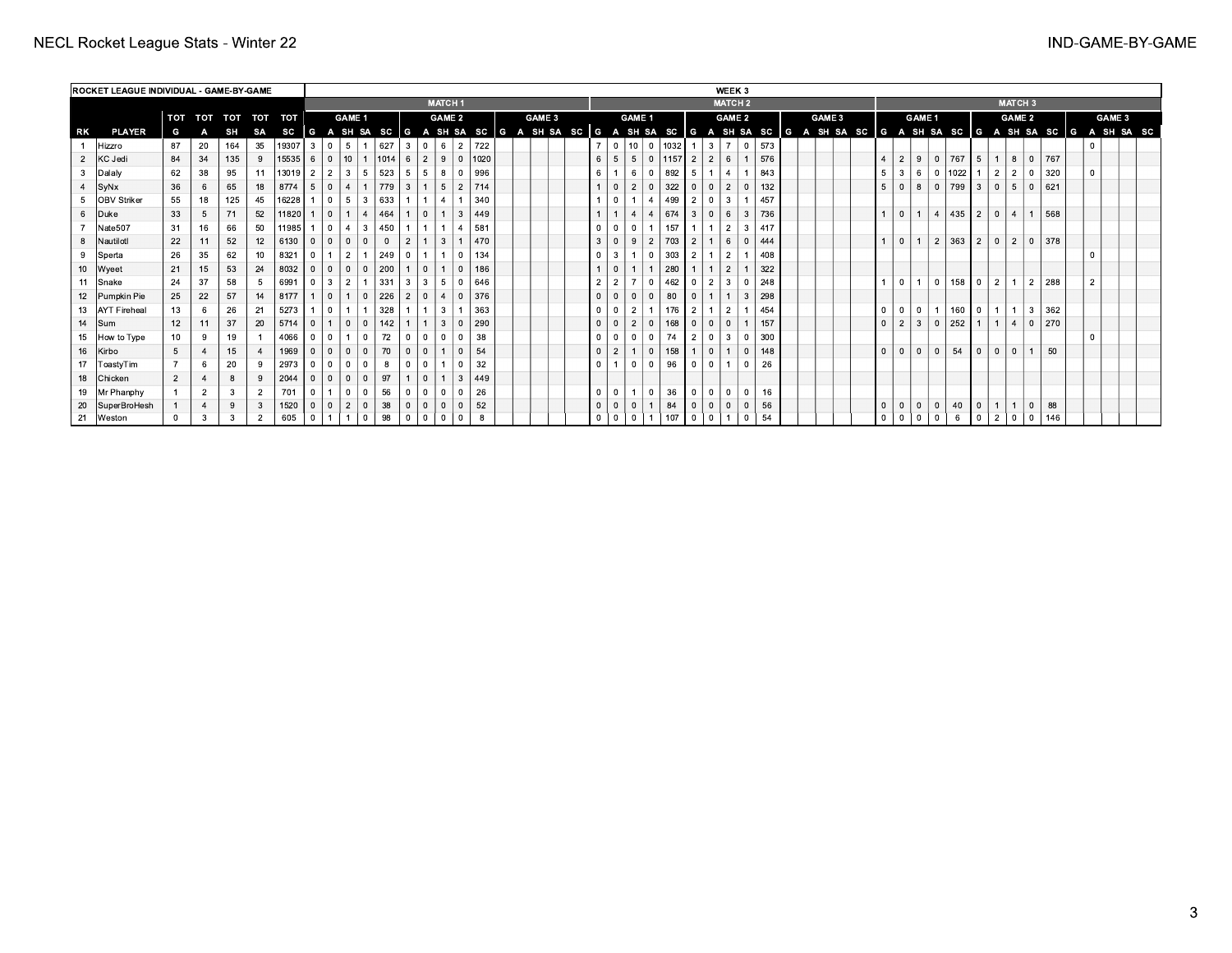|    | <b>ROCKET LEAGUE INDIVIDUAL - GAME-BY-GAME</b> |            |                |     |                |           |                |                |                |                |                  |    |                            |                |                       |  |               |  |                |                       |                |      |                |                | WEEK 3         |             |     |        |  |                |                    |                                    |          |                |                                |                |              |     |  |                                                                                                                              |  |
|----|------------------------------------------------|------------|----------------|-----|----------------|-----------|----------------|----------------|----------------|----------------|------------------|----|----------------------------|----------------|-----------------------|--|---------------|--|----------------|-----------------------|----------------|------|----------------|----------------|----------------|-------------|-----|--------|--|----------------|--------------------|------------------------------------|----------|----------------|--------------------------------|----------------|--------------|-----|--|------------------------------------------------------------------------------------------------------------------------------|--|
|    |                                                |            |                |     |                |           |                |                |                |                |                  |    | <b>MATCH1</b>              |                |                       |  |               |  |                |                       |                |      |                |                | <b>MATCH 2</b> |             |     |        |  |                |                    |                                    |          |                |                                | <b>MATCH3</b>  |              |     |  |                                                                                                                              |  |
|    |                                                | <b>TOT</b> | TOT TOT        |     |                | TOT TOT   |                |                | <b>GAME 1</b>  |                |                  |    |                            | <b>GAME 2</b>  |                       |  | <b>GAME 3</b> |  |                |                       | <b>GAME 1</b>  |      |                |                | <b>GAME 2</b>  |             |     | GAME 3 |  |                |                    | <b>GAME 1</b>                      |          |                |                                | <b>GAME 2</b>  |              |     |  | GAME 3                                                                                                                       |  |
| RK | <b>PLAYER</b>                                  | G          |                | SH  | SA             | sc        |                |                |                |                |                  |    |                            |                |                       |  |               |  |                |                       |                |      |                |                |                |             |     |        |  |                |                    |                                    |          |                |                                |                |              |     |  | G A SH SA SC  G A SH SA SC  G A SH SA SC  G A SH SA SC  G A SH SA SC  G A SH SA SC  G A SH SA SC  G A SH SA SC  G A SH SA SC |  |
|    | Hizzro                                         | 87         | 20             | 164 | 35             | 19307     | $\mathbf{3}$   | $\overline{0}$ | 5              |                | 627              | 3  | $\mathbf{0}$               | 6              | 722<br>- 2 I          |  |               |  |                | 10<br>$\Omega$        | ΙO             | 1032 |                | 3 <sup>1</sup> | $\overline{7}$ | $\mathbf 0$ | 573 |        |  |                |                    |                                    |          |                |                                |                |              |     |  |                                                                                                                              |  |
|    | 2 KC Jedi                                      | 84         | 34             | 135 | 9              | 15535     | 6              | $\overline{0}$ | 10             |                | $ 1014 $ 6       |    | 2                          | 9              | 0   1020              |  |               |  | 6              | 5                     |                | 1157 | $\overline{2}$ | $\overline{2}$ | 6              |             | 576 |        |  |                | 9<br>$\mathcal{P}$ | $\Omega$                           | 767      | 5              |                                | 8              | $\Omega$     | 767 |  |                                                                                                                              |  |
|    | 3 Dalaly                                       | 62         | 38             | 95  | 11             | $13019$ 2 |                | 2 <sup>1</sup> | 3              | 5              | 523              | 5  | -5                         | 8              | 996                   |  |               |  | 6              | 6                     |                | 892  | 5              |                | $\overline{4}$ |             | 843 |        |  | 5              | 6                  |                                    | 0   1022 | $\overline{1}$ | 2                              | $\overline{2}$ | $\Omega$     | 320 |  |                                                                                                                              |  |
|    | 4 $ $ SyNx                                     | 36         | 6              | 65  | 18             | 8774      | 5              | $\overline{0}$ | $\overline{4}$ |                | $\frac{1779}{ }$ | -3 |                            | 5              | 714<br>$\overline{2}$ |  |               |  |                | 2                     |                | 322  |                |                | $\overline{2}$ |             | 132 |        |  | 5              |                    | 8<br>l o                           | 799      | 3 <sup>1</sup> | $\mathbf{0}$                   | 5              | l 0          | 621 |  |                                                                                                                              |  |
|    | 5 OBV Striker                                  | 55         | 18             | 125 | 45             | 16228     |                | $\Omega$       | $5^{\circ}$    | $\mathbf{3}$   | 633              |    |                            |                | 340                   |  |               |  |                |                       | $\overline{4}$ | 499  | $\overline{2}$ |                | 3              |             | 457 |        |  |                |                    |                                    |          |                |                                |                |              |     |  |                                                                                                                              |  |
|    | 6 Duke                                         | 33         | 5              | 71  | 52             | 11820     |                | $\mathbf{0}$   |                | $\overline{a}$ | 464              |    | $\Omega$                   | 3              | 449                   |  |               |  |                | $\boldsymbol{\Delta}$ | $\overline{4}$ | 674  | $\mathbf{3}$   |                | 6<br>3         |             | 736 |        |  |                |                    | 4                                  | 435      |                | 2 <sup>1</sup><br>$\mathbf{0}$ | $\overline{4}$ |              | 568 |  |                                                                                                                              |  |
|    | 7   Nate507                                    | 31         | 16             | 66  | 50             | 11985     |                | $\overline{0}$ | $\overline{4}$ | 3              | 450              |    |                            | $\overline{4}$ | 581                   |  |               |  |                | $\Omega$              |                | 157  |                |                | $\overline{2}$ | 3           | 417 |        |  |                |                    |                                    |          |                |                                |                |              |     |  |                                                                                                                              |  |
|    | 8   Nautilotl                                  | 22         | 11             | 52  | 12             | 6130      | $\overline{0}$ | $\overline{0}$ |                |                |                  |    |                            | 3              | 470                   |  |               |  |                | 9                     | $\overline{2}$ | 703  | $\overline{2}$ |                | 6              |             | 444 |        |  |                |                    | $\overline{2}$                     | 363      |                | 2 <sup>1</sup><br>$\mathbf{0}$ | $\overline{2}$ | $\mathbf{0}$ | 378 |  |                                                                                                                              |  |
|    | 9 Sperta                                       | 26         | 35             | 62  | 10             | 8321      | $\overline{0}$ |                | $\overline{2}$ |                | 249              |    |                            |                | 134                   |  |               |  |                |                       |                | 303  |                |                | $\overline{2}$ |             | 408 |        |  |                |                    |                                    |          |                |                                |                |              |     |  |                                                                                                                              |  |
|    | 10   Wyeet                                     | 21         | 15             | 53  | 24             | 8032      | $\overline{0}$ | $\overline{0}$ | $\mathbf{0}$   | $\Omega$       | 200              |    | $\Omega$                   |                | 186                   |  |               |  |                |                       |                | 280  |                |                | $\overline{2}$ |             | 322 |        |  |                |                    |                                    |          |                |                                |                |              |     |  |                                                                                                                              |  |
|    | 11 Snake                                       | 24         | 37             | 58  | 5              | 6991      | $\overline{0}$ | 3              | $\overline{2}$ |                | 331              |    |                            | 5              | 646                   |  |               |  | $\overline{2}$ |                       |                | 462  |                |                | 3              |             | 248 |        |  | $\overline{1}$ |                    | $\overline{0}$                     |          | $158$ 0        | 2 <sup>1</sup>                 |                | 2            | 288 |  |                                                                                                                              |  |
|    | 12   Pumpkin Pie                               | 25         | 22             | 57  | 14             | 8177      |                | $\mathbf{0}$   |                | $\mathbf{0}$   | 226              |    | $\overline{4}$<br>$\Omega$ | - 0            | 376                   |  |               |  |                | $\mathbf{0}$          |                | 80   |                |                | 3              |             | 298 |        |  |                |                    |                                    |          |                |                                |                |              |     |  |                                                                                                                              |  |
|    | 13   AYT Fireheal                              | 13         | 6              | 26  | 21             | 5273      |                | $\overline{0}$ |                |                | 328              |    |                            | 3              | 363                   |  |               |  |                | $\overline{2}$        |                | 176  | $\overline{2}$ |                | $\overline{2}$ |             | 454 |        |  | $\overline{0}$ |                    | $\overline{0}$<br>$\overline{1}$ 1 |          | $160$ 0        |                                |                | -3 I         | 362 |  |                                                                                                                              |  |
|    | 14 $ Sum$                                      | 12         | 11             | 37  | 20             | 5714      | $\overline{0}$ |                | $\mathbf{0}$   | $\mathbf{0}$   | 142              |    |                            | 3              | 290                   |  |               |  |                | 2                     |                | 168  |                |                | $\mathbf{0}$   |             | 157 |        |  | $\overline{0}$ | $\mathbf{3}$<br>2  | 0                                  | 252      | $\overline{1}$ | $\vert$ 1 $\vert$              | $\overline{4}$ | $\mathbf{0}$ | 270 |  |                                                                                                                              |  |
|    | 15 How to Type                                 | 10         | 9              | 19  |                | 4066      | $\overline{0}$ | $\overline{0}$ |                | $\Omega$       | 72               |    |                            |                | 38                    |  |               |  |                | $\mathbf{0}$          |                | 74   | $\overline{2}$ |                | 3              |             | 300 |        |  |                |                    |                                    |          |                |                                |                |              |     |  |                                                                                                                              |  |
|    | 16   Kirbo                                     | 5          | $\overline{a}$ | 15  |                | 1969      |                | $\Omega$       | $\mathbf{0}$   | $\Omega$       | 70               |    |                            |                | 54                    |  |               |  |                |                       |                | 158  |                |                | $\Omega$       |             | 148 |        |  | $\overline{0}$ | $\Omega$           | $\Omega$                           | 54       | $\overline{0}$ |                                |                |              | 50  |  |                                                                                                                              |  |
|    | 17   ToastyTim                                 |            | 6              | 20  | 9              | 2973      | $\overline{0}$ | $\overline{0}$ |                |                |                  |    |                            |                | 32                    |  |               |  |                | $\mathbf{0}$          |                | 96   |                |                |                |             | 26  |        |  |                |                    |                                    |          |                |                                |                |              |     |  |                                                                                                                              |  |
|    | 18 Chicken                                     | 2          |                | 8   | 9              | 2044      | $\Omega$       | $\Omega$       | $\Omega$       |                | 97               |    |                            | -3             | 449                   |  |               |  |                |                       |                |      |                |                |                |             |     |        |  |                |                    |                                    |          |                |                                |                |              |     |  |                                                                                                                              |  |
|    | 19   Mr Phanphy                                |            | $\overline{2}$ | 3   | $\overline{2}$ | 701       |                |                |                |                | 56               |    |                            |                | 26                    |  |               |  |                |                       | - 0            | 36   |                |                | $\mathbf{0}$   |             | 16  |        |  |                |                    |                                    |          |                |                                |                |              |     |  |                                                                                                                              |  |
|    | 20   SuperBroHesh                              |            | $\overline{4}$ | 9   | 3              | 1520      | $\overline{0}$ | $\Omega$       | $\overline{2}$ | $\Omega$       | 38               |    |                            |                | 52                    |  |               |  |                | $\mathbf 0$           |                | 84   |                |                | $\mathbf{0}$   |             | 56  |        |  | $\overline{0}$ | $\overline{0}$     | 0                                  | 40       | $\overline{0}$ |                                |                | $\mathbf{0}$ | 88  |  |                                                                                                                              |  |
| 21 | Weston                                         |            | 3              | 3   | $\overline{2}$ | 605       |                |                |                |                | 98               |    |                            |                | 8                     |  |               |  |                | $\mathbf 0$           |                | 107  |                |                |                |             | 54  |        |  | $\overline{0}$ |                    | $\mathbf 0$                        | 6        | $\overline{0}$ |                                |                | $^{\circ}$   | 146 |  |                                                                                                                              |  |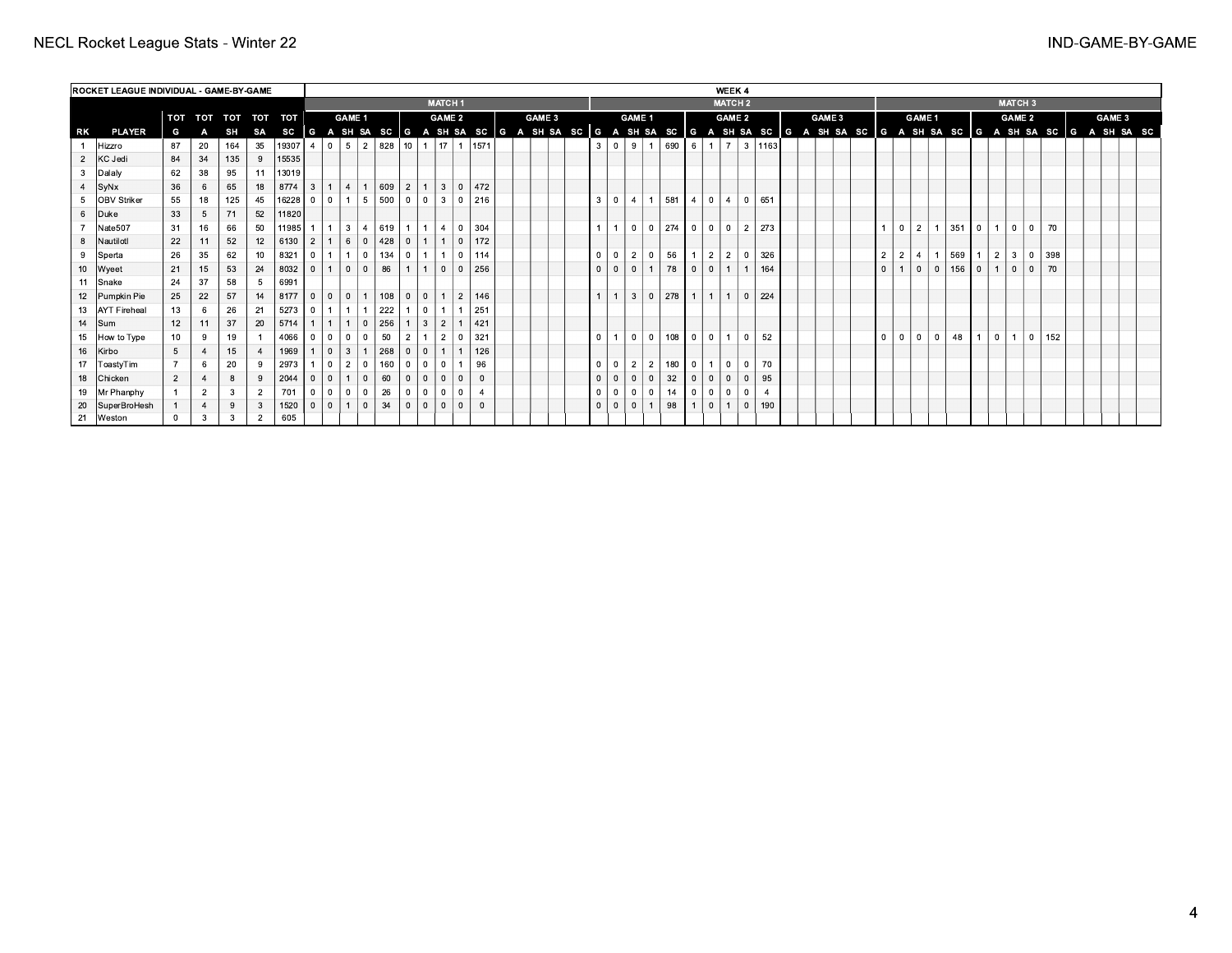|             | <b>ROCKET LEAGUE INDIVIDUAL - GAME-BY-GAME</b> |          |                |     |                |                 |                |                                                                                                                                                           |                 |                |                       |                |                 |                |                |                                                                  |  |        |  |  |                |                |                |                |                   |                |                                        | WEEK 4         |           |              |  |               |                |                |                |                |              |                |                |                      |           |         |  |        |  |
|-------------|------------------------------------------------|----------|----------------|-----|----------------|-----------------|----------------|-----------------------------------------------------------------------------------------------------------------------------------------------------------|-----------------|----------------|-----------------------|----------------|-----------------|----------------|----------------|------------------------------------------------------------------|--|--------|--|--|----------------|----------------|----------------|----------------|-------------------|----------------|----------------------------------------|----------------|-----------|--------------|--|---------------|----------------|----------------|----------------|----------------|--------------|----------------|----------------|----------------------|-----------|---------|--|--------|--|
|             |                                                |          |                |     |                |                 |                |                                                                                                                                                           |                 |                |                       |                |                 | <b>MATCH1</b>  |                |                                                                  |  |        |  |  |                |                |                |                |                   |                |                                        | <b>MATCH 2</b> |           |              |  |               |                |                |                |                |              |                |                | <b>MATCH 3</b>       |           |         |  |        |  |
|             |                                                | TOT      |                |     |                | TOT TOT TOT TOT |                |                                                                                                                                                           | <b>GAME 1</b>   |                |                       |                |                 | <b>GAME 2</b>  |                |                                                                  |  | GAME 3 |  |  |                |                | <b>GAME 1</b>  |                |                   |                |                                        | <b>GAME 2</b>  |           |              |  | <b>GAME 3</b> |                |                | <b>GAME 1</b>  |                |              |                |                | <b>GAME 2</b>        |           |         |  | GAME 3 |  |
| RK          | <b>PLAYER</b>                                  | G        | А              | SH  | SA             |                 |                | SC  G A SH SA SC  G A SH SA SC  G A SH SA SC  G A SH SA SC  G A SH SA SC  G A SH SA SC  G A SH SA SC  G A SH SA SC  G A SH SA SC<br>2   828   10   1   17 |                 |                |                       |                |                 |                |                |                                                                  |  |        |  |  |                |                |                |                |                   |                |                                        |                |           |              |  |               |                |                |                |                |              |                |                |                      |           |         |  |        |  |
|             | Hizzro                                         | 87       | 20             | 164 | 35             | 19307 4         |                |                                                                                                                                                           | $0 \mid 5$      |                |                       |                |                 |                |                | 1571                                                             |  |        |  |  |                | 3 0            | 9              |                | 690 I 6           |                | $\mathbf{1}$                           | $\overline{7}$ |           | 3   1163     |  |               |                |                |                |                |              |                |                |                      |           |         |  |        |  |
| $2^{\circ}$ | KC Jedi                                        | 84       | 34             | 135 | 9 <sup>1</sup> | 15535           |                |                                                                                                                                                           |                 |                |                       |                |                 |                |                |                                                                  |  |        |  |  |                |                |                |                |                   |                |                                        |                |           |              |  |               |                |                |                |                |              |                |                |                      |           |         |  |        |  |
|             | Dalaly                                         | 62       | 38             | 95  |                | 11   13019      |                |                                                                                                                                                           |                 |                |                       |                |                 |                |                |                                                                  |  |        |  |  |                |                |                |                |                   |                |                                        |                |           |              |  |               |                |                |                |                |              |                |                |                      |           |         |  |        |  |
|             | $\sqrt{\text{SyNx}}$                           | 36       | 6              | 65  | 18             | $8774$ 3        |                |                                                                                                                                                           | $1 \mid 4$      |                | 609 2                 |                | $1 \mid 3 \mid$ |                |                | $\begin{array}{ c c c c c } \hline 0 & 472 \ \hline \end{array}$ |  |        |  |  |                |                |                |                |                   |                |                                        |                |           |              |  |               |                |                |                |                |              |                |                |                      |           |         |  |        |  |
|             | OBV Striker                                    | 55       | 18             | 125 | 45             | 16228 0 0 1 1   |                |                                                                                                                                                           |                 |                | 5   500   0   0   3   |                |                 |                | 0 216          |                                                                  |  |        |  |  | 3              | $\Omega$       | $\overline{4}$ |                | 581 4             |                | $\begin{array}{c c} 0 & 4 \end{array}$ |                |           | $0 \mid 651$ |  |               |                |                |                |                |              |                |                |                      |           |         |  |        |  |
| 6           | Duke                                           | 33       | 5              | 71  | 52             | 11820           |                |                                                                                                                                                           |                 |                |                       |                |                 |                |                |                                                                  |  |        |  |  |                |                |                |                |                   |                |                                        |                |           |              |  |               |                |                |                |                |              |                |                |                      |           |         |  |        |  |
|             | Nate507                                        | 31       | 16             | 66  | 50             | 11985           |                |                                                                                                                                                           | $1 \mid 3 \mid$ |                | 4 619 1               |                | 1   4           |                | $0 \mid 304$   |                                                                  |  |        |  |  |                |                | $\Omega$       |                | 02740000          |                |                                        |                |           | 2 273        |  |               |                | $\Omega$       | $\overline{2}$ |                | $351$ 0      |                |                | $1\, \,0$            | lo I      | 70      |  |        |  |
|             | 8 Nautilotl                                    | 22       | 11             | 52  | 12             | $6130$   2      |                | $\mathbf{1}$                                                                                                                                              | 6               |                | 0   428   0           |                | $1 \mid 1$      |                | $\circ$ 1      | 172                                                              |  |        |  |  |                |                |                |                |                   |                |                                        |                |           |              |  |               |                |                |                |                |              |                |                |                      |           |         |  |        |  |
|             | Sperta                                         | 26       | 35             | 62  | 10             | $8321$ 0        |                | 1111                                                                                                                                                      |                 |                | $0$   134   0   1   1 |                |                 |                |                | $0 \mid 114$                                                     |  |        |  |  | $\mathbf 0$    | $\overline{0}$ | $\overline{2}$ | $\Omega$       | 56                |                | 2                                      | $\overline{2}$ |           | $0 \mid 326$ |  |               | $\overline{2}$ | $\overline{2}$ | $\overline{4}$ |                | 569          |                | 2 <sup>1</sup> | $-3$ <sup>1</sup>    |           | 0   398 |  |        |  |
|             | 10 Wyeet                                       | 21       | 15             | 53  | 24             | $8032$ 0        |                | 1 I                                                                                                                                                       | $\overline{0}$  | 0 <sup>1</sup> | 86                    |                |                 | $\mathbf{0}$   | $\Omega$       | 256                                                              |  |        |  |  | $\overline{0}$ | $\overline{0}$ | $\mathbf{0}$   |                | 78                | ΙO             | lo I                                   | 1              |           | 164          |  |               | $\mathbf{0}$   |                | $\mathbf{0}$   |                | $0 \mid 156$ | $\overline{0}$ | 1 <sup>1</sup> | $\mathbf{0}$         | $\circ$ 1 | 70      |  |        |  |
|             | 11 Snake                                       | 24       | 37             | 58  | 5              | 6991            |                |                                                                                                                                                           |                 |                |                       |                |                 |                |                |                                                                  |  |        |  |  |                |                |                |                |                   |                |                                        |                |           |              |  |               |                |                |                |                |              |                |                |                      |           |         |  |        |  |
|             | 12   Pumpkin Pie                               | 25       | 22             | 57  | 14             | $8177$ 0        |                | $\Omega$                                                                                                                                                  | $\mathbf{0}$    |                | $108$ 0               |                | 10 <sup>1</sup> |                | 2 <sup>1</sup> | 146                                                              |  |        |  |  |                |                | $\overline{3}$ |                | $0 \mid 278 \mid$ |                | 1 <sup>1</sup>                         | 1              |           | $0 \mid 224$ |  |               |                |                |                |                |              |                |                |                      |           |         |  |        |  |
|             | 13   AYT Fireheal                              | 13       | 6              | 26  | 21             | $5273$ 0        |                | 1111                                                                                                                                                      |                 | $\overline{1}$ | 222                   |                | $\overline{0}$  |                |                | 251                                                              |  |        |  |  |                |                |                |                |                   |                |                                        |                |           |              |  |               |                |                |                |                |              |                |                |                      |           |         |  |        |  |
|             | 14 $ Sum$                                      | 12       | 11             | 37  | 20             | 5714            |                | 1 <sup>1</sup>                                                                                                                                            | $\overline{1}$  | 0 <sup>1</sup> | 256                   |                | 3               | $\overline{2}$ |                | 421                                                              |  |        |  |  |                |                |                |                |                   |                |                                        |                |           |              |  |               |                |                |                |                |              |                |                |                      |           |         |  |        |  |
|             | 15 How to Type                                 | 10       | 9              | 19  |                | $4066$ 0        |                | 0 0                                                                                                                                                       |                 | $\circ$ 1      | 50                    | $\overline{2}$ |                 | $\overline{2}$ | 0              | 321                                                              |  |        |  |  | $\Omega$       |                | $\Omega$       | $\circ$ 1      | $108$ 0           |                | $\pm$ 0 $\pm$                          |                | o l       | 52           |  |               | $\mathbf 0$    | $^{\circ}$     | $\Omega$       | 0 <sup>1</sup> | 48           |                | $0-1$          | $\blacktriangleleft$ | lo I      | 152     |  |        |  |
|             | 16 Kirbo                                       | 5        |                | 15  |                | 1969            |                | $\Omega$                                                                                                                                                  | 3               |                | 268                   | $\overline{0}$ | $\Omega$        |                |                | 126                                                              |  |        |  |  |                |                |                |                |                   |                |                                        |                |           |              |  |               |                |                |                |                |              |                |                |                      |           |         |  |        |  |
|             | 17   ToastyTim                                 |          | 6              | 20  | 9              | 2973            |                | l 0 l                                                                                                                                                     | $\overline{2}$  | 0 <sup>1</sup> | 160                   | $\overline{0}$ | <b>0</b>        |                |                | 96                                                               |  |        |  |  | $\Omega$       | $\mathbf{0}$   | $\overline{2}$ | 2              | 180               | $\overline{0}$ | $\mathbf{1}$                           | $\mathbf{0}$   | - 0 I     | -70          |  |               |                |                |                |                |              |                |                |                      |           |         |  |        |  |
|             | 18 Chicken                                     | 2        |                | 8   | 9              | 2044            |                | $\Omega$                                                                                                                                                  |                 | $\Omega$       | 60                    | $\Omega$       | $\Omega$        |                |                |                                                                  |  |        |  |  | $\Omega$       | $\Omega$       | $\overline{0}$ | $\Omega$       | 32                | $\mathbf{0}$   | $\Omega$                               | $\mathbf 0$    | $\Omega$  | 95           |  |               |                |                |                |                |              |                |                |                      |           |         |  |        |  |
|             | 19   Mr Phanphy                                |          | $\overline{2}$ |     | $\overline{2}$ | 701             | $\overline{0}$ | l 0 l                                                                                                                                                     | $\mathbf 0$     | 0 <sup>1</sup> | 26                    | $\overline{0}$ | $\overline{0}$  | 0              |                |                                                                  |  |        |  |  |                | $\overline{0}$ | $\mathbf 0$    | $\overline{0}$ | 14                | 0              | 0                                      | $\mathbf 0$    | $\circ$ 1 |              |  |               |                |                |                |                |              |                |                |                      |           |         |  |        |  |
|             | 20   SuperBroHesh                              |          | $\overline{4}$ | 9   | 3              | 1520            | $\Omega$       | 101                                                                                                                                                       | 1               | 0 <sup>1</sup> | 34                    | $\overline{0}$ | 101             | $\overline{0}$ | $\Omega$       |                                                                  |  |        |  |  | $\Omega$       | $\Omega$       | $\overline{0}$ |                | 98                |                | l o I                                  | 1              |           | $0 \mid 190$ |  |               |                |                |                |                |              |                |                |                      |           |         |  |        |  |
| 21          | Weston                                         | $\Omega$ | $\mathbf{3}$   | 3   | $\overline{2}$ | 605             |                |                                                                                                                                                           |                 |                |                       |                |                 |                |                |                                                                  |  |        |  |  |                |                |                |                |                   |                |                                        |                |           |              |  |               |                |                |                |                |              |                |                |                      |           |         |  |        |  |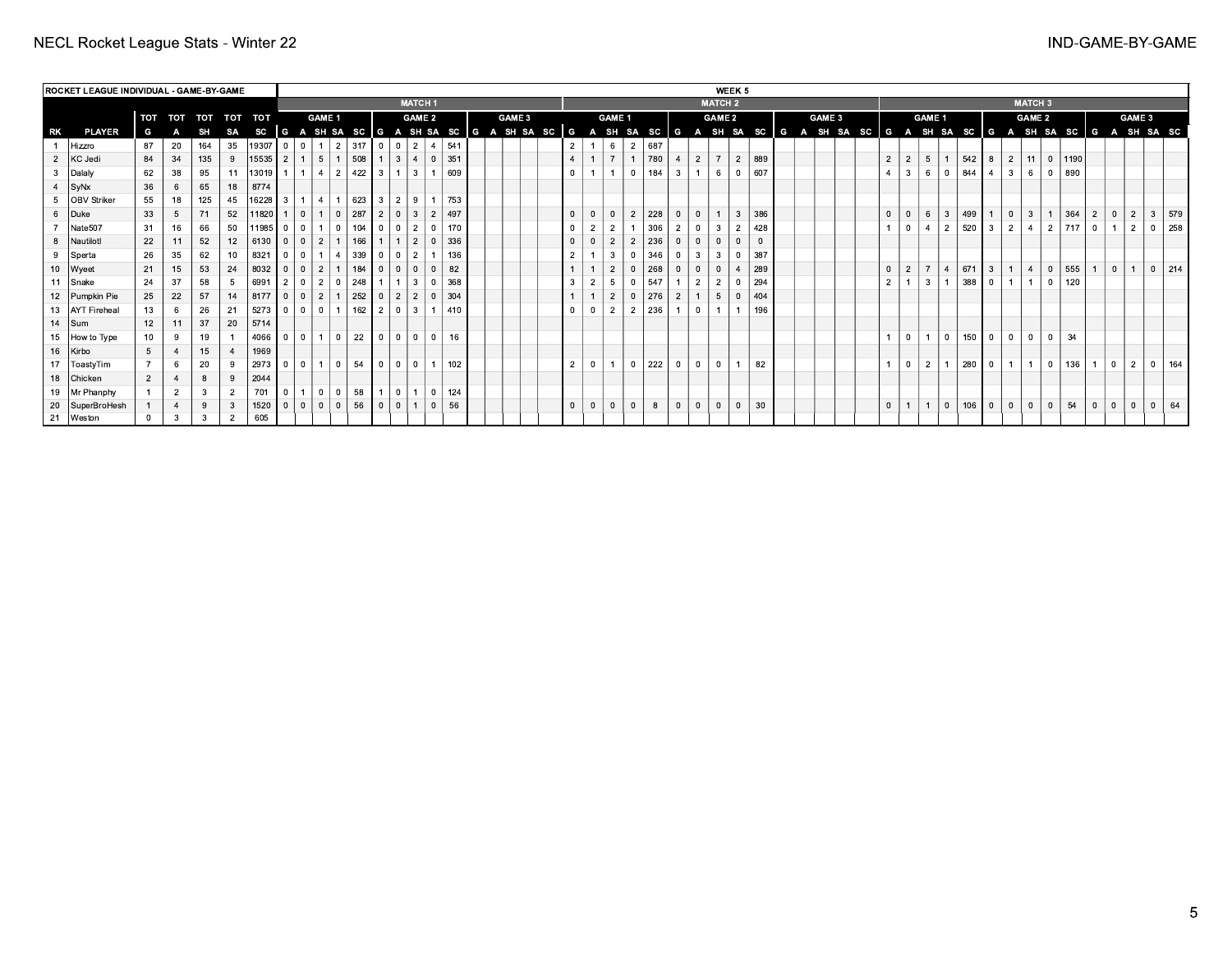|    | <b>ROCKET LEAGUE INDIVIDUAL - GAME-BY-GAME</b> |                |                |     |                |         |                |                                                                                                                         |                |                |     |                |                |                |                |     |  |               |  |  |                |                |                |                |     |                |             |                | WEEK 5         |     |  |               |                |                |                |                |     |                |                |                |                |           |                |                |                |              |    |
|----|------------------------------------------------|----------------|----------------|-----|----------------|---------|----------------|-------------------------------------------------------------------------------------------------------------------------|----------------|----------------|-----|----------------|----------------|----------------|----------------|-----|--|---------------|--|--|----------------|----------------|----------------|----------------|-----|----------------|-------------|----------------|----------------|-----|--|---------------|----------------|----------------|----------------|----------------|-----|----------------|----------------|----------------|----------------|-----------|----------------|----------------|----------------|--------------|----|
|    |                                                |                |                |     |                |         |                |                                                                                                                         |                |                |     |                |                | <b>MATCH 1</b> |                |     |  |               |  |  |                |                |                |                |     |                |             | <b>MATCH 2</b> |                |     |  |               |                |                |                |                |     |                |                | <b>MATCH 3</b> |                |           |                |                |                |              |    |
|    |                                                | TOT            | TOT TOT        |     |                | TOT TOT |                |                                                                                                                         | GAME 1         |                |     |                |                | <b>GAME 2</b>  |                |     |  | <b>GAME 3</b> |  |  |                |                | GAME 1         |                |     |                |             | <b>GAME 2</b>  |                |     |  | <b>GAME 3</b> |                |                | GAME 1         |                |     |                |                | <b>GAME 2</b>  |                |           |                |                | GAME 3         |              |    |
| RK | <b>PLAYER</b>                                  | G              |                | SH  | SA             |         |                | SC G A SH SA SC G A SH SA SC G A SH SA SC G A SH SA SC G A SH SA SC G A SH SA SC G A SH SA SC G A SH SA SC G A SH SA SC |                |                |     |                |                |                |                |     |  |               |  |  |                |                |                |                |     |                |             |                |                |     |  |               |                |                |                |                |     |                |                |                |                |           |                |                |                |              |    |
|    | Hizzro                                         | 87             | 20             | 164 | 35             | 19307   |                | $\mathbf{0}$                                                                                                            | $\overline{1}$ | 2              | 317 | $\overline{0}$ | 0 <sup>1</sup> | 2 <sup>1</sup> |                | 541 |  |               |  |  | $\overline{2}$ |                | 6              | $\overline{2}$ | 687 |                |             |                |                |     |  |               |                |                |                |                |     |                |                |                |                |           |                |                |                |              |    |
|    | 2 KC Jedi                                      | 84             | 34             | 135 | 9              | 15535   | 2              |                                                                                                                         | 5              |                | 508 |                | 3 <sup>1</sup> | $\overline{4}$ | $\mathbf 0$    | 351 |  |               |  |  |                |                |                |                | 780 |                | $2^{\circ}$ |                | 2              | 889 |  |               | $\overline{2}$ | 2              | 5              |                | 542 | l 8            | $\overline{2}$ | $\vert$ 11     | $\overline{0}$ | 1190      |                |                |                |              |    |
|    | Dalaly                                         | 62             | 38             | 95  | 11             | 13019   |                |                                                                                                                         | l 4 l          | 2              | 422 | $\overline{3}$ |                | $\overline{3}$ |                | 609 |  |               |  |  | $\Omega$       |                |                | $\Omega$       | 184 | $\mathbf{3}$   |             | 6              |                | 607 |  |               |                | $\mathbf{3}$   | - 6            | $\Omega$       | 844 | $\overline{4}$ | 3              | 6              | $\Omega$       | 890       |                |                |                |              |    |
|    | $ $ SyNx                                       | 36             | 6              | 65  | 18             | 8774    |                |                                                                                                                         |                |                |     |                |                |                |                |     |  |               |  |  |                |                |                |                |     |                |             |                |                |     |  |               |                |                |                |                |     |                |                |                |                |           |                |                |                |              |    |
|    | 5 OBV Striker                                  | 55             | 18             | 125 | 45             | 16228   | $\mathbf{3}$   |                                                                                                                         | l 4 l          | 1 <sup>1</sup> | 623 | $\mathbf{3}$   | l 2 l          | 91             |                | 753 |  |               |  |  |                |                |                |                |     |                |             |                |                |     |  |               |                |                |                |                |     |                |                |                |                |           |                |                |                |              |    |
|    | Duke                                           | 33             | 5              | 71  | 52             | 11820   |                | $\Omega$                                                                                                                | 1.1            | $\Omega$       | 287 | 2              | 0              | $\overline{3}$ | $\overline{2}$ | 497 |  |               |  |  | $\mathbf 0$    |                |                | $\overline{2}$ | 228 | $\overline{0}$ |             |                | 3 <sup>1</sup> | 386 |  |               | $\overline{0}$ |                | -6             | $\mathbf{3}$   | 499 | $\mathbf{1}$   | $\mathbf{0}$   | $\vert$ 3      |                | $364$   2 |                | $\overline{0}$ | $\overline{2}$ | $3 \mid 579$ |    |
|    | Nate507                                        | 31             | 16             | 66  | 50             | 11985   | $\Omega$       | $\Omega$                                                                                                                |                | $\Omega$       | 104 | $\Omega$       | $\Omega$       | $\overline{2}$ | $\Omega$       | 170 |  |               |  |  | $\mathbf 0$    | $\overline{2}$ |                |                | 306 | $\overline{2}$ |             |                | $\overline{2}$ | 428 |  |               |                | $\Omega$       | $\overline{4}$ | 2              | 520 | $\mathbf{3}$   | $\overline{2}$ | $\vert$ 4      | $\overline{2}$ | 717       | $\Omega$       | $\overline{1}$ | $\overline{2}$ | 0   258      |    |
|    | Nautilotl                                      | 22             | 11             | 52  | 12             | 6130    | $\Omega$       | $\mathbf{0}$                                                                                                            | $\sqrt{2}$     |                | 166 |                |                | 2              | $\mathbf{0}$   | 336 |  |               |  |  | $\mathbf{0}$   |                |                | $\mathfrak{p}$ | 236 |                |             | $\Omega$       | $\Omega$       |     |  |               |                |                |                |                |     |                |                |                |                |           |                |                |                |              |    |
|    | 9 Sperta                                       | 26             | 35             | 62  |                | 8321    |                | $\Omega$                                                                                                                |                | $\overline{4}$ | 339 | $\Omega$       | $^{\circ}$     | 2              |                | 136 |  |               |  |  | $\overline{2}$ |                |                |                | 346 |                |             |                | $\Omega$       | 387 |  |               |                |                |                |                |     |                |                |                |                |           |                |                |                |              |    |
|    | 10 Wyeet                                       | 21             | 15             | 53  | 24             | 8032    |                | $\Omega$                                                                                                                | $\overline{2}$ |                | 184 | $\overline{0}$ | $\Omega$       | $\Omega$       | $\mathbf 0$    | 82  |  |               |  |  |                |                |                |                | 268 |                |             | $\Omega$       | $\overline{4}$ | 289 |  |               | $\overline{0}$ | 2              |                |                | 671 | $\overline{3}$ |                | $\vert$ 4      | $\overline{0}$ | 555   1   |                | $\Omega$       |                | 0   214      |    |
|    | 11 Snake                                       | 24             | 37             | 58  |                | 6991    |                | $\Omega$                                                                                                                | l 2 l          | $\Omega$       | 248 |                |                | $\overline{3}$ | $\Omega$       | 368 |  |               |  |  | 3              | $\overline{2}$ |                |                | 547 |                |             |                |                | 294 |  |               | $\overline{2}$ |                | 3              |                | 388 | $\overline{0}$ |                |                | $\Omega$       | 120       |                |                |                |              |    |
|    | 12 Pumpkin Pie                                 | 25             | 22             | 57  | 14             | 8177    | $\Omega$       | $\Omega$                                                                                                                | l 2 l          |                | 252 | $\overline{0}$ | 2 <sup>1</sup> | $\overline{2}$ | $\mathbf{0}$   | 304 |  |               |  |  |                |                | $\overline{2}$ |                | 276 |                |             | $\overline{5}$ | $\overline{0}$ | 404 |  |               |                |                |                |                |     |                |                |                |                |           |                |                |                |              |    |
|    | 13 AYT Fireheal                                | 13             | 6              | 26  | 21             | 5273    |                | $\Omega$                                                                                                                | $\sqrt{2}$     | $\sim$ 1       | 162 | $\overline{2}$ | $\Omega$       | $\mathcal{B}$  |                | 410 |  |               |  |  | $\Omega$       |                |                | $\overline{2}$ | 236 |                |             |                |                | 196 |  |               |                |                |                |                |     |                |                |                |                |           |                |                |                |              |    |
|    | $14$ Sum                                       | 12             | 11             | 37  | 20             | 5714    |                |                                                                                                                         |                |                |     |                |                |                |                |     |  |               |  |  |                |                |                |                |     |                |             |                |                |     |  |               |                |                |                |                |     |                |                |                |                |           |                |                |                |              |    |
|    | 15   How to Type                               | 10             | 9              | 19  |                | 4066    |                | $\Omega$                                                                                                                |                | $\circ$ 1      | 22  | $\mathbf{0}$   | $\Omega$       | $\Omega$       | $\Omega$       | 16  |  |               |  |  |                |                |                |                |     |                |             |                |                |     |  |               |                | $\overline{0}$ |                | $\overline{0}$ | 150 | $\mathbf{0}$   | $\Omega$       | $\overline{0}$ | $\Omega$       | 34        |                |                |                |              |    |
|    | 16   Kirbo                                     | $5^{\circ}$    |                | 15  |                | 1969    |                |                                                                                                                         |                |                |     |                |                |                |                |     |  |               |  |  |                |                |                |                |     |                |             |                |                |     |  |               |                |                |                |                |     |                |                |                |                |           |                |                |                |              |    |
|    | 17   ToastyTim                                 |                | 6              | 20  | -9             | 2973    |                | $\Omega$                                                                                                                |                | $\circ$ 1      | 54  | $\mathbf{0}$   | $\Omega$       | $\Omega$       |                | 102 |  |               |  |  | $\overline{2}$ | $\overline{0}$ |                | $\Omega$       | 222 | $\overline{0}$ |             | $\Omega$       |                | 82  |  |               |                | $\mathbf{0}$   | $\overline{2}$ |                | 280 | $^{\circ}$     |                | $\overline{1}$ | $\overline{0}$ | 136       |                | $\Omega$       | $\mathcal{P}$  | $0 \mid 164$ |    |
|    | 18 Chicken                                     | $\overline{2}$ | $\overline{4}$ | 8   |                | 2044    |                |                                                                                                                         |                |                |     |                |                |                |                |     |  |               |  |  |                |                |                |                |     |                |             |                |                |     |  |               |                |                |                |                |     |                |                |                |                |           |                |                |                |              |    |
|    | 19   Mr Phanphy                                |                | $\overline{2}$ | 3   | $\overline{2}$ | 701     | $\overline{0}$ |                                                                                                                         | lol            | $\Omega$       | 58  |                | $^{\circ}$     |                | $\mathbf{0}$   | 124 |  |               |  |  |                |                |                |                |     |                |             |                |                |     |  |               |                |                |                |                |     |                |                |                |                |           |                |                |                |              |    |
|    | 20   SuperBroHesh                              |                | $\overline{4}$ | 9   |                | 1520    |                |                                                                                                                         | $0 0 0 0 0 1$  |                | 56  | $\Omega$       | 0 <sup>1</sup> |                | $\mathbf{0}$   | 56  |  |               |  |  | $\mathbf{0}$   |                | $\Omega$       | $\Omega$       | 8   | $\overline{0}$ |             | $\mathbf{0}$   | $\mathbf{0}$   | 30  |  |               | $\Omega$       |                |                | $\overline{0}$ | 106 | $\overline{0}$ | $\mathbf{0}$   | $\overline{0}$ | $\mathbf{0}$   | 54        | $\overline{0}$ | $\Omega$       | $\mathbf{0}$   | $\Omega$     | 64 |
|    | 21   Weston                                    | $^{\circ}$     |                |     | $\overline{2}$ | 605     |                |                                                                                                                         |                |                |     |                |                |                |                |     |  |               |  |  |                |                |                |                |     |                |             |                |                |     |  |               |                |                |                |                |     |                |                |                |                |           |                |                |                |              |    |